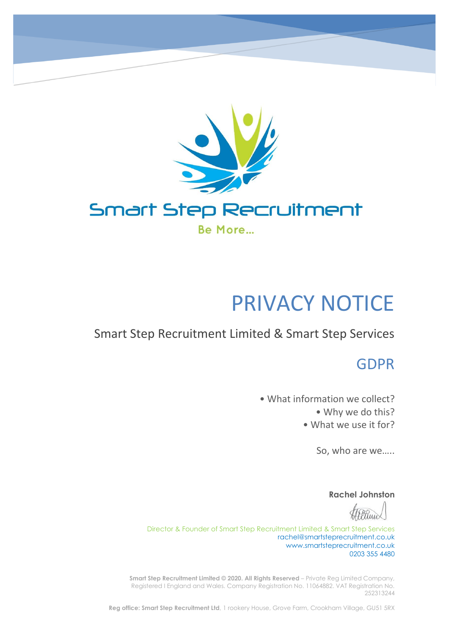

# PRIVACY NOTICE

# Smart Step Recruitment Limited & Smart Step Services

# GDPR

• What information we collect? • Why we do this? • What we use it for?

So, who are we…..

**Rachel Johnston**

Director & Founder of Smart Step Recruitment Limited & Smart Step Services rachel@smartsteprecruitment.co.uk www.smartsteprecruitment.co.uk 0203 355 4480

**Smart Step Recruitment Limited © 2020. All Rights Reserved** – Private Reg Limited Company, Registered I England and Wales. Company Registration No. 11064882. VAT Registration No. 252313244

**Reg office: Smart Step Recruitment Ltd**, 1 rookery House, Grove Farm, Crookham Village, GU51 5RX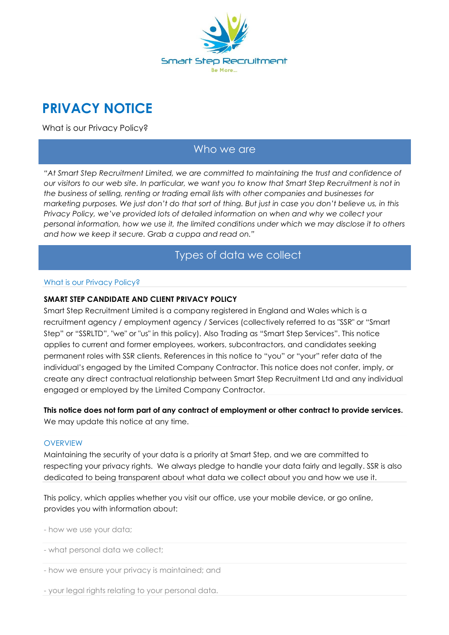

# **PRIVACY NOTICE**

What is our Privacy Policy?

### Who we are

*"At Smart Step Recruitment Limited, we are committed to maintaining the trust and confidence of our visitors to our web site. In particular, we want you to know that Smart Step Recruitment is not in the business of selling, renting or trading email lists with other companies and businesses for marketing purposes. We just don't do that sort of thing. But just in case you don't believe us, in this Privacy Policy, we've provided lots of detailed information on when and why we collect your personal information, how we use it, the limited conditions under which we may disclose it to others and how we keep it secure. Grab a cuppa and read on."*

### Types of data we collect

#### What is our Privacy Policy?

### **SMART STEP CANDIDATE AND CLIENT PRIVACY POLICY**

Smart Step Recruitment Limited is a company registered in England and Wales which is a recruitment agency / employment agency / Services (collectively referred to as "SSR" or "Smart Step" or "SSRLTD", "we" or "us" in this policy). Also Trading as "Smart Step Services". This notice applies to current and former employees, workers, subcontractors, and candidates seeking permanent roles with SSR clients. References in this notice to "you" or "your" refer data of the individual's engaged by the Limited Company Contractor. This notice does not confer, imply, or create any direct contractual relationship between Smart Step Recruitment Ltd and any individual engaged or employed by the Limited Company Contractor.

**This notice does not form part of any contract of employment or other contract to provide services.** We may update this notice at any time.

#### **OVERVIEW**

Maintaining the security of your data is a priority at Smart Step, and we are committed to respecting your privacy rights. We always pledge to handle your data fairly and legally. SSR is also dedicated to being transparent about what data we collect about you and how we use it.

This policy, which applies whether you visit our office, use your mobile device, or go online, provides you with information about:

- how we use your data;

- what personal data we collect;
- how we ensure your privacy is maintained; and
- your legal rights relating to your personal data.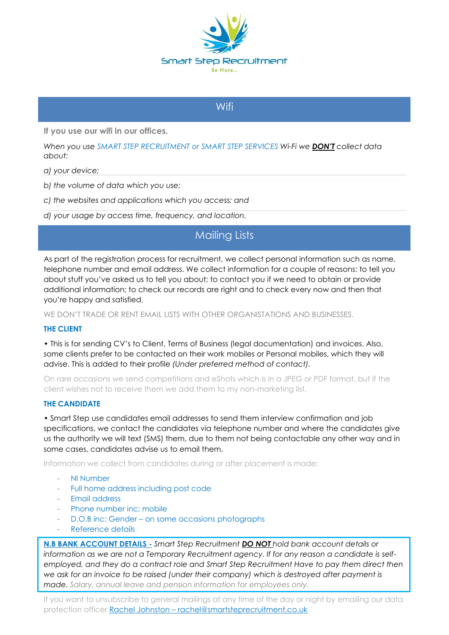

### **Wifi**

**If you use our wifi in our offices.**

*When you use SMART STEP RECRUITMENT or SMART STEP SERVICES Wi-Fi we DON'T collect data about:*

- *a) your device;*
- *b) the volume of data which you use;*
- *c) the websites and applications which you access; and*
- *d) your usage by access time, frequency, and location.*

# Mailing Lists

As part of the registration process for recruitment, we collect personal information such as name, telephone number and email address. We collect information for a couple of reasons: to tell you about stuff you've asked us to tell you about; to contact you if we need to obtain or provide additional information; to check our records are right and to check every now and then that you're happy and satisfied.

WE DON'T TRADE OR RENT EMAIL LISTS WITH OTHER ORGANISTATIONS AND BUSINESSES.

### **THE CLIENT**

• This is for sending CV's to Client, Terms of Business (legal documentation) and invoices. Also, some clients prefer to be contacted on their work mobiles or Personal mobiles, which they will advise. This is added to their profile *(Under preferred method of contact).*

On rare occasions we send competitions and eShots which is in a JPEG or PDF format, but if the client wishes not to receive them we add them to my non-marketing list.

### **THE CANDIDATE**

• Smart Step use candidates email addresses to send them interview confirmation and job specifications, we contact the candidates via telephone number and where the candidates give us the authority we will text (SMS) them, due to them not being contactable any other way and in some cases, candidates advise us to email them.

Information we collect from candidates during or after placement is made:

- NI Number
- Full home address including post code
- Email address
- Phone number inc; mobile
- D.O.B inc; Gender on some occasions photographs
- Reference details

**N.B BANK ACCOUNT DETAILS -** *Smart Step Recruitment DO NOT hold bank account details or information as we are not a Temporary Recruitment agency. If for any reason a candidate is selfemployed, and they do a contract role and Smart Step Recruitment Have to pay them direct then we ask for an invoice to be raised (under their company) which is destroyed after payment is made. Salary, annual leave and pension information for employees only.*

If you want to unsubscribe to general mailings at any time of the day or night by emailing our data protection officer Rachel Johnston - rachel@smartsteprecruitment.co.uk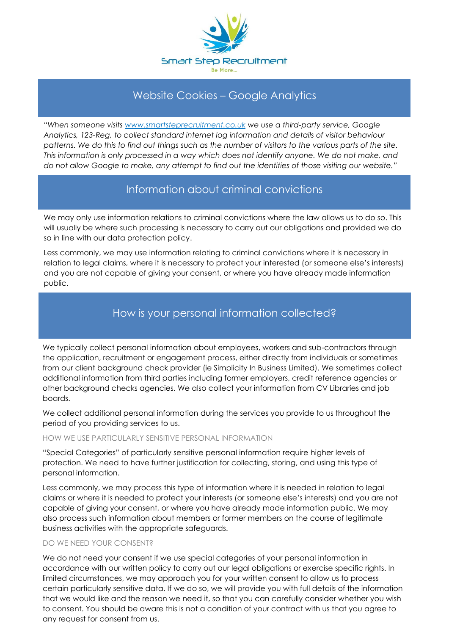

# Website Cookies – Google Analytics

*"When someone visits www.smartsteprecruitment.co.uk we use a third-party service, Google Analytics, 123-Reg, to collect standard internet log information and details of visitor behaviour patterns. We do this to find out things such as the number of visitors to the various parts of the site. This information is only processed in a way which does not identify anyone. We do not make, and do not allow Google to make, any attempt to find out the identities of those visiting our website."*

# Information about criminal convictions

We may only use information relations to criminal convictions where the law allows us to do so. This will usually be where such processing is necessary to carry out our obligations and provided we do so in line with our data protection policy.

Less commonly, we may use information relating to criminal convictions where it is necessary in relation to legal claims, where it is necessary to protect your interested (or someone else's interests) and you are not capable of giving your consent, or where you have already made information public.

# How is your personal information collected?

We typically collect personal information about employees, workers and sub-contractors through the application, recruitment or engagement process, either directly from individuals or sometimes from our client background check provider (ie Simplicity In Business Limited). We sometimes collect additional information from third parties including former employers, credit reference agencies or other background checks agencies. We also collect your information from CV Libraries and job boards.

We collect additional personal information during the services you provide to us throughout the period of you providing services to us.

### HOW WE USE PARTICULARLY SENSITIVE PERSONAL INFORMATION

"Special Categories" of particularly sensitive personal information require higher levels of protection. We need to have further justification for collecting, storing, and using this type of personal information.

Less commonly, we may process this type of information where it is needed in relation to legal claims or where it is needed to protect your interests (or someone else's interests) and you are not capable of giving your consent, or where you have already made information public. We may also process such information about members or former members on the course of legitimate business activities with the appropriate safeguards.

### DO WE NEED YOUR CONSENT?

We do not need your consent if we use special categories of your personal information in accordance with our written policy to carry out our legal obligations or exercise specific rights. In limited circumstances, we may approach you for your written consent to allow us to process certain particularly sensitive data. If we do so, we will provide you with full details of the information that we would like and the reason we need it, so that you can carefully consider whether you wish to consent. You should be aware this is not a condition of your contract with us that you agree to any request for consent from us.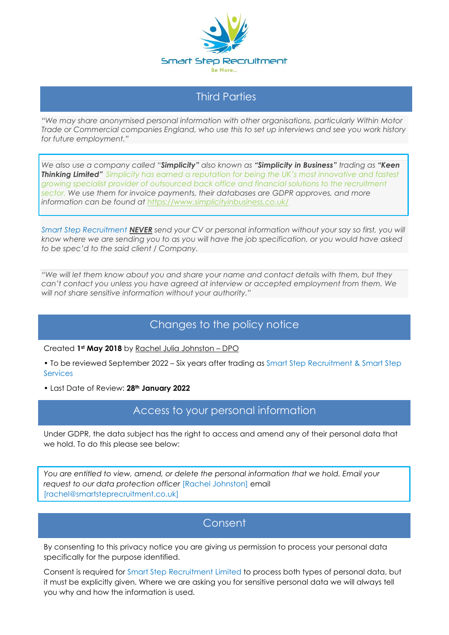

# Third Parties

*"We may share anonymised personal information with other organisations, particularly Within Motor Trade or Commercial companies England, who use this to set up interviews and see you work history for future employment."*

*We also use a company called "Simplicity" also known as "Simplicity in Business" trading as "Keen Thinking Limited" Simplicity has earned a reputation for being the UK's most innovative and fastest growing specialist provider of outsourced back office and financial solutions to the recruitment sector. We use them for invoice payments, their databases are GDPR approves, and more information can be found at https://www.simplicityinbusiness.co.uk/*

*Smart Step Recruitment NEVER send your CV or personal information without your say so first, you will know where we are sending you to as you will have the job specification, or you would have asked to be spec'd to the said client / Company.*

*"We will let them know about you and share your name and contact details with them, but they can't contact you unless you have agreed at interview or accepted employment from them. We will not share sensitive information without your authority."*

# Changes to the policy notice

Created **1st May 2018** by Rachel Julia Johnston – DPO

• To be reviewed September 2022 – Six years after trading as Smart Step Recruitment & Smart Step **Services** 

• Last Date of Review: **28th January 2022**

# Access to your personal information

Under GDPR, the data subject has the right to access and amend any of their personal data that we hold. To do this please see below:

*You are entitled to view, amend, or delete the personal information that we hold. Email your request to our data protection officer* [Rachel Johnston] email [rachel@smartsteprecruitment.co.uk]

### **Consent**

By consenting to this privacy notice you are giving us permission to process your personal data specifically for the purpose identified.

Consent is required for Smart Step Recruitment Limited to process both types of personal data, but it must be explicitly given. Where we are asking you for sensitive personal data we will always tell you why and how the information is used.